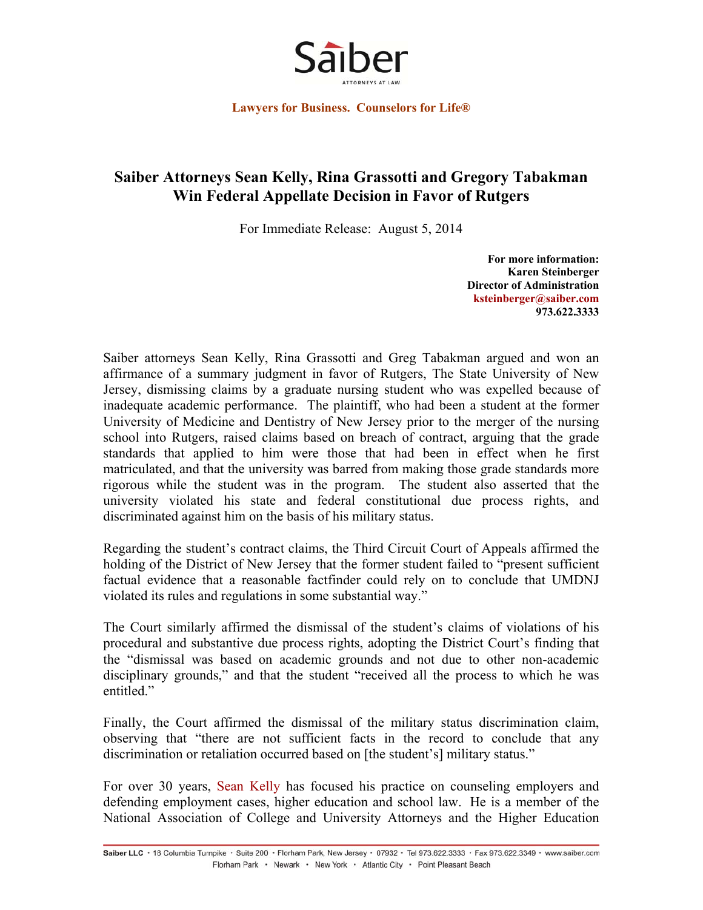

**Lawyers for Business. Counselors for Life®** 

## **Saiber Attorneys Sean Kelly, Rina Grassotti and Gregory Tabakman Win Federal Appellate Decision in Favor of Rutgers**

For Immediate Release: August 5, 2014

**For more information: Karen Steinberger Director of Administration ksteinberger@saiber.com 973.622.3333** 

Saiber attorneys Sean Kelly, Rina Grassotti and Greg Tabakman argued and won an affirmance of a summary judgment in favor of Rutgers, The State University of New Jersey, dismissing claims by a graduate nursing student who was expelled because of inadequate academic performance. The plaintiff, who had been a student at the former University of Medicine and Dentistry of New Jersey prior to the merger of the nursing school into Rutgers, raised claims based on breach of contract, arguing that the grade standards that applied to him were those that had been in effect when he first matriculated, and that the university was barred from making those grade standards more rigorous while the student was in the program. The student also asserted that the university violated his state and federal constitutional due process rights, and discriminated against him on the basis of his military status.

Regarding the student's contract claims, the Third Circuit Court of Appeals affirmed the holding of the District of New Jersey that the former student failed to "present sufficient factual evidence that a reasonable factfinder could rely on to conclude that UMDNJ violated its rules and regulations in some substantial way."

The Court similarly affirmed the dismissal of the student's claims of violations of his procedural and substantive due process rights, adopting the District Court's finding that the "dismissal was based on academic grounds and not due to other non-academic disciplinary grounds," and that the student "received all the process to which he was entitled."

Finally, the Court affirmed the dismissal of the military status discrimination claim, observing that "there are not sufficient facts in the record to conclude that any discrimination or retaliation occurred based on [the student's] military status."

For over 30 years, Sean Kelly has focused his practice on counseling employers and defending employment cases, higher education and school law. He is a member of the National Association of College and University Attorneys and the Higher Education